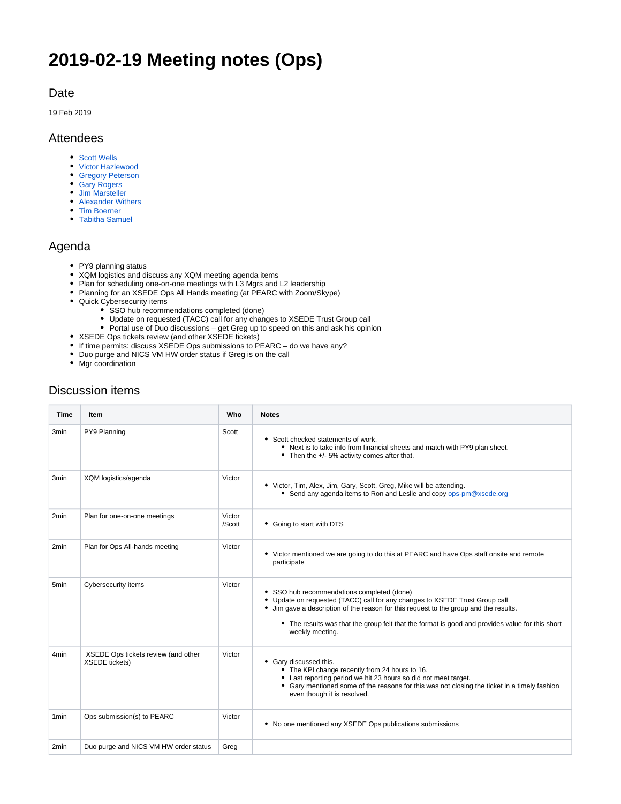# **2019-02-19 Meeting notes (Ops)**

#### Date

19 Feb 2019

#### Attendees

- [Scott Wells](https://confluence.xsede.org/display/~swells)
- [Victor Hazlewood](https://confluence.xsede.org/display/~victorh)
- [Gregory Peterson](https://confluence.xsede.org/display/~gdp)
- [Gary Rogers](https://confluence.xsede.org/display/~grogers) [Jim Marsteller](https://confluence.xsede.org/display/~jam)
- [Alexander Withers](https://confluence.xsede.org/display/~awithers)
- [Tim Boerner](https://confluence.xsede.org/display/~tboerner)
- [Tabitha Samuel](https://confluence.xsede.org/display/~tsamuel)

#### Agenda

- PY9 planning status
- XQM logistics and discuss any XQM meeting agenda items
- Plan for scheduling one-on-one meetings with L3 Mgrs and L2 leadership
- Planning for an XSEDE Ops All Hands meeting (at PEARC with Zoom/Skype)
- Quick Cybersecurity items
	- SSO hub recommendations completed (done)
	- Update on requested (TACC) call for any changes to XSEDE Trust Group call
	- Portal use of Duo discussions get Greg up to speed on this and ask his opinion
- XSEDE Ops tickets review (and other XSEDE tickets)
- If time permits: discuss XSEDE Ops submissions to PEARC do we have any?
- Duo purge and NICS VM HW order status if Greg is on the call
- Mgr coordination

### Discussion items

| Time             | <b>Item</b>                                                  | Who              | <b>Notes</b>                                                                                                                                                                                                                                                                                                                             |
|------------------|--------------------------------------------------------------|------------------|------------------------------------------------------------------------------------------------------------------------------------------------------------------------------------------------------------------------------------------------------------------------------------------------------------------------------------------|
| 3 <sub>min</sub> | PY9 Planning                                                 | Scott            | • Scott checked statements of work.<br>• Next is to take info from financial sheets and match with PY9 plan sheet.<br>• Then the +/- 5% activity comes after that.                                                                                                                                                                       |
| 3 <sub>min</sub> | XQM logistics/agenda                                         | Victor           | • Victor, Tim, Alex, Jim, Gary, Scott, Greg, Mike will be attending.<br>• Send any agenda items to Ron and Leslie and copy ops-pm@xsede.org                                                                                                                                                                                              |
| 2min             | Plan for one-on-one meetings                                 | Victor<br>/Scott | • Going to start with DTS                                                                                                                                                                                                                                                                                                                |
| 2 <sub>min</sub> | Plan for Ops All-hands meeting                               | Victor           | • Victor mentioned we are going to do this at PEARC and have Ops staff onsite and remote<br>participate                                                                                                                                                                                                                                  |
| 5 <sub>min</sub> | Cybersecurity items                                          | Victor           | • SSO hub recommendations completed (done)<br>• Update on requested (TACC) call for any changes to XSEDE Trust Group call<br>• Jim gave a description of the reason for this request to the group and the results.<br>• The results was that the group felt that the format is good and provides value for this short<br>weekly meeting. |
| 4 <sub>min</sub> | XSEDE Ops tickets review (and other<br><b>XSEDE</b> tickets) | Victor           | • Gary discussed this.<br>• The KPI change recently from 24 hours to 16.<br>• Last reporting period we hit 23 hours so did not meet target.<br>• Gary mentioned some of the reasons for this was not closing the ticket in a timely fashion<br>even though it is resolved.                                                               |
| 1 <sub>min</sub> | Ops submission(s) to PEARC                                   | Victor           | • No one mentioned any XSEDE Ops publications submissions                                                                                                                                                                                                                                                                                |
| 2 <sub>min</sub> | Duo purge and NICS VM HW order status                        | Greg             |                                                                                                                                                                                                                                                                                                                                          |